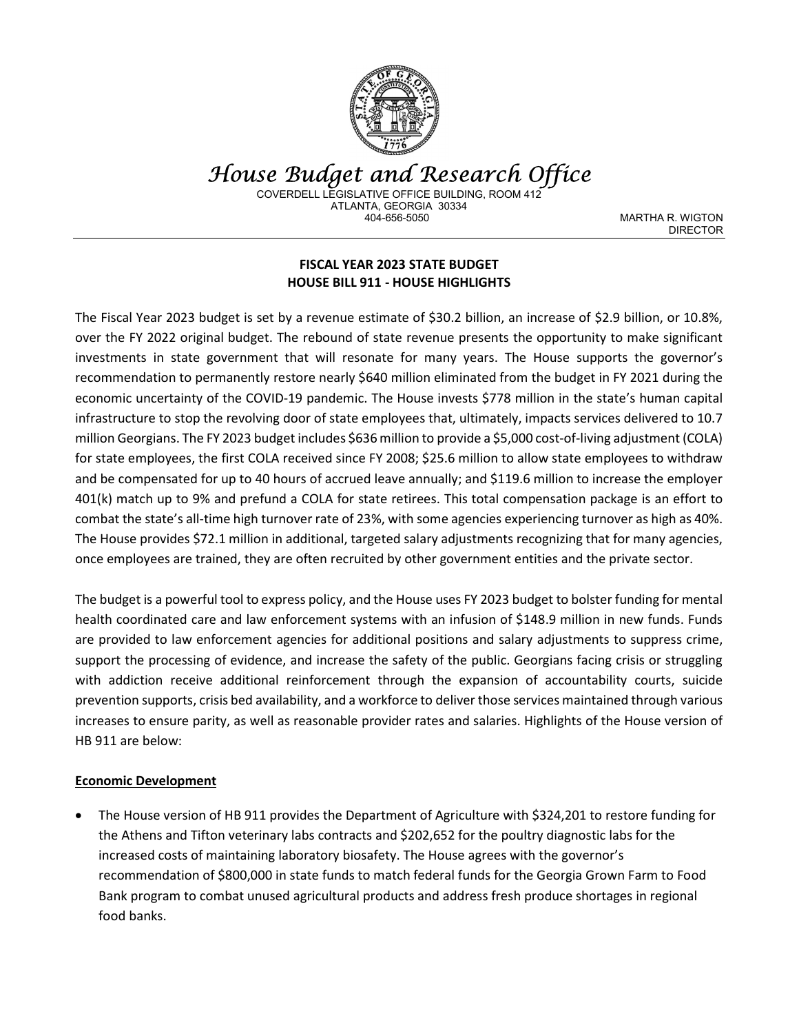

House Budget and Research Office COVERDELL LEGISLATIVE OFFICE BUILDING, ROOM 412 ATLANTA, GEORGIA 30334

MARTHA R. WIGTON DIRECTOR

### FISCAL YEAR 2023 STATE BUDGET HOUSE BILL 911 - HOUSE HIGHLIGHTS

The Fiscal Year 2023 budget is set by a revenue estimate of \$30.2 billion, an increase of \$2.9 billion, or 10.8%, over the FY 2022 original budget. The rebound of state revenue presents the opportunity to make significant investments in state government that will resonate for many years. The House supports the governor's recommendation to permanently restore nearly \$640 million eliminated from the budget in FY 2021 during the economic uncertainty of the COVID-19 pandemic. The House invests \$778 million in the state's human capital infrastructure to stop the revolving door of state employees that, ultimately, impacts services delivered to 10.7 million Georgians. The FY 2023 budget includes \$636 million to provide a \$5,000 cost-of-living adjustment (COLA) for state employees, the first COLA received since FY 2008; \$25.6 million to allow state employees to withdraw and be compensated for up to 40 hours of accrued leave annually; and \$119.6 million to increase the employer 401(k) match up to 9% and prefund a COLA for state retirees. This total compensation package is an effort to combat the state's all-time high turnover rate of 23%, with some agencies experiencing turnover as high as 40%. The House provides \$72.1 million in additional, targeted salary adjustments recognizing that for many agencies, once employees are trained, they are often recruited by other government entities and the private sector.

The budget is a powerful tool to express policy, and the House uses FY 2023 budget to bolster funding for mental health coordinated care and law enforcement systems with an infusion of \$148.9 million in new funds. Funds are provided to law enforcement agencies for additional positions and salary adjustments to suppress crime, support the processing of evidence, and increase the safety of the public. Georgians facing crisis or struggling with addiction receive additional reinforcement through the expansion of accountability courts, suicide prevention supports, crisis bed availability, and a workforce to deliver those services maintained through various increases to ensure parity, as well as reasonable provider rates and salaries. Highlights of the House version of HB 911 are below:

#### Economic Development

 The House version of HB 911 provides the Department of Agriculture with \$324,201 to restore funding for the Athens and Tifton veterinary labs contracts and \$202,652 for the poultry diagnostic labs for the increased costs of maintaining laboratory biosafety. The House agrees with the governor's recommendation of \$800,000 in state funds to match federal funds for the Georgia Grown Farm to Food Bank program to combat unused agricultural products and address fresh produce shortages in regional food banks.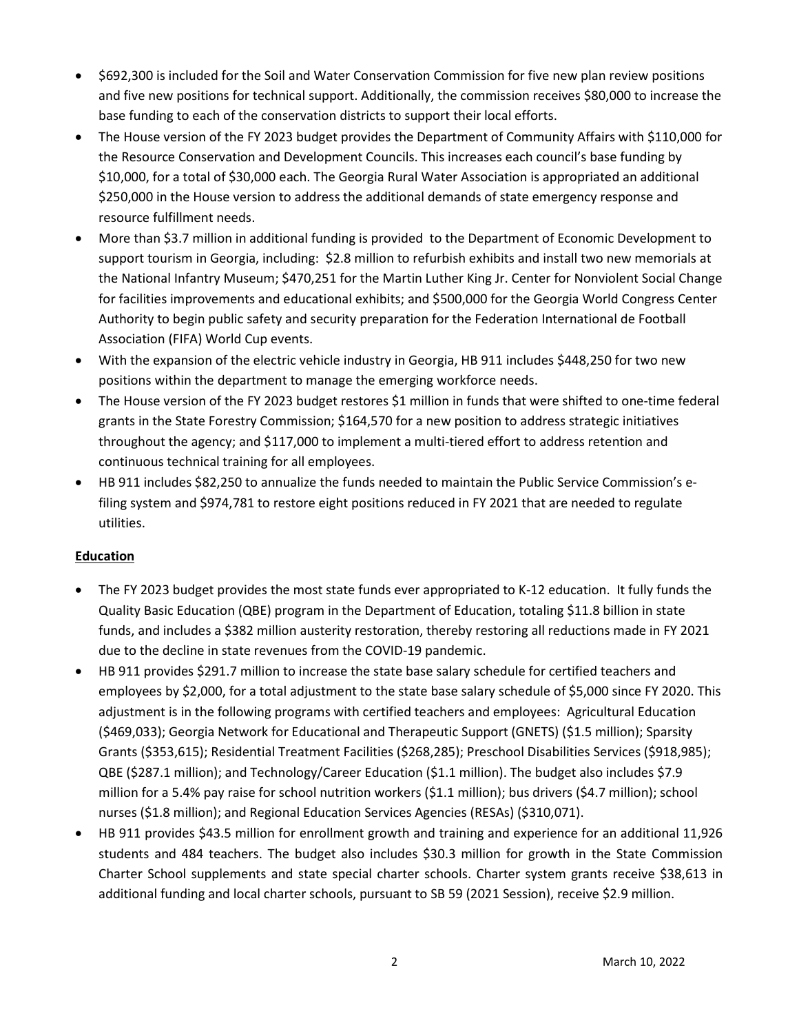- \$692,300 is included for the Soil and Water Conservation Commission for five new plan review positions and five new positions for technical support. Additionally, the commission receives \$80,000 to increase the base funding to each of the conservation districts to support their local efforts.
- The House version of the FY 2023 budget provides the Department of Community Affairs with \$110,000 for the Resource Conservation and Development Councils. This increases each council's base funding by \$10,000, for a total of \$30,000 each. The Georgia Rural Water Association is appropriated an additional \$250,000 in the House version to address the additional demands of state emergency response and resource fulfillment needs.
- More than \$3.7 million in additional funding is provided to the Department of Economic Development to support tourism in Georgia, including: \$2.8 million to refurbish exhibits and install two new memorials at the National Infantry Museum; \$470,251 for the Martin Luther King Jr. Center for Nonviolent Social Change for facilities improvements and educational exhibits; and \$500,000 for the Georgia World Congress Center Authority to begin public safety and security preparation for the Federation International de Football Association (FIFA) World Cup events.
- With the expansion of the electric vehicle industry in Georgia, HB 911 includes \$448,250 for two new positions within the department to manage the emerging workforce needs.
- The House version of the FY 2023 budget restores \$1 million in funds that were shifted to one-time federal grants in the State Forestry Commission; \$164,570 for a new position to address strategic initiatives throughout the agency; and \$117,000 to implement a multi-tiered effort to address retention and continuous technical training for all employees.
- HB 911 includes \$82,250 to annualize the funds needed to maintain the Public Service Commission's efiling system and \$974,781 to restore eight positions reduced in FY 2021 that are needed to regulate utilities.

# Education

- The FY 2023 budget provides the most state funds ever appropriated to K-12 education. It fully funds the Quality Basic Education (QBE) program in the Department of Education, totaling \$11.8 billion in state funds, and includes a \$382 million austerity restoration, thereby restoring all reductions made in FY 2021 due to the decline in state revenues from the COVID-19 pandemic.
- HB 911 provides \$291.7 million to increase the state base salary schedule for certified teachers and employees by \$2,000, for a total adjustment to the state base salary schedule of \$5,000 since FY 2020. This adjustment is in the following programs with certified teachers and employees: Agricultural Education (\$469,033); Georgia Network for Educational and Therapeutic Support (GNETS) (\$1.5 million); Sparsity Grants (\$353,615); Residential Treatment Facilities (\$268,285); Preschool Disabilities Services (\$918,985); QBE (\$287.1 million); and Technology/Career Education (\$1.1 million). The budget also includes \$7.9 million for a 5.4% pay raise for school nutrition workers (\$1.1 million); bus drivers (\$4.7 million); school nurses (\$1.8 million); and Regional Education Services Agencies (RESAs) (\$310,071).
- HB 911 provides \$43.5 million for enrollment growth and training and experience for an additional 11,926 students and 484 teachers. The budget also includes \$30.3 million for growth in the State Commission Charter School supplements and state special charter schools. Charter system grants receive \$38,613 in additional funding and local charter schools, pursuant to SB 59 (2021 Session), receive \$2.9 million.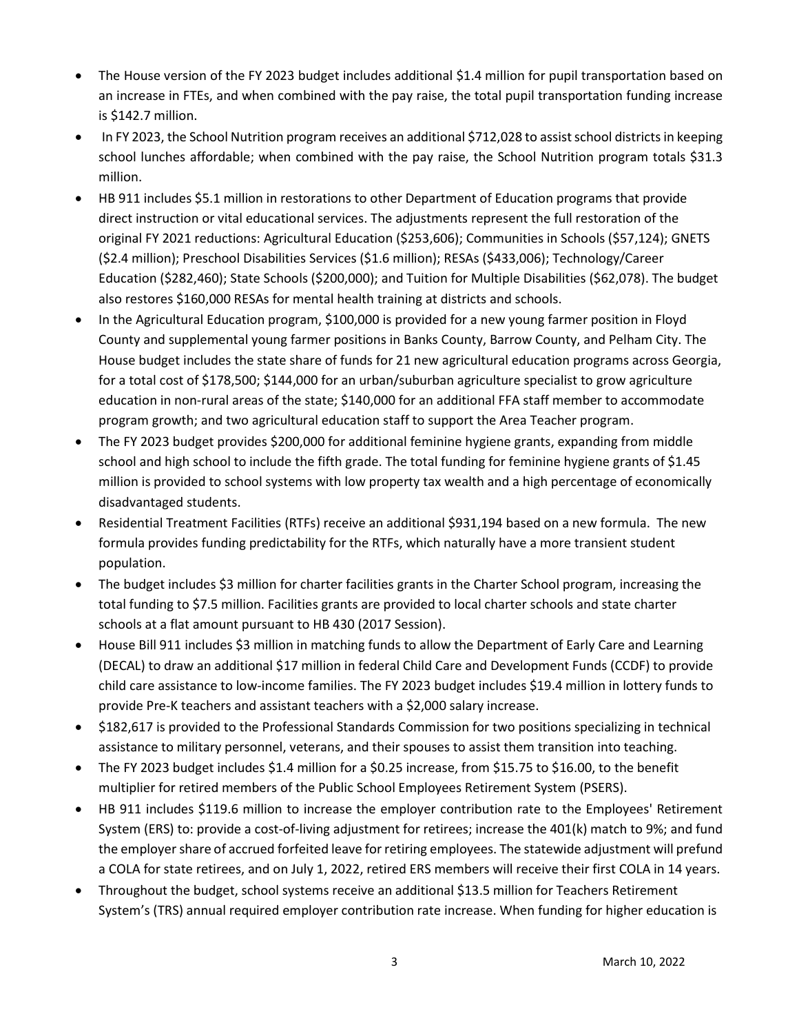- The House version of the FY 2023 budget includes additional \$1.4 million for pupil transportation based on an increase in FTEs, and when combined with the pay raise, the total pupil transportation funding increase is \$142.7 million.
- In FY 2023, the School Nutrition program receives an additional \$712,028 to assist school districts in keeping school lunches affordable; when combined with the pay raise, the School Nutrition program totals \$31.3 million.
- HB 911 includes \$5.1 million in restorations to other Department of Education programs that provide direct instruction or vital educational services. The adjustments represent the full restoration of the original FY 2021 reductions: Agricultural Education (\$253,606); Communities in Schools (\$57,124); GNETS (\$2.4 million); Preschool Disabilities Services (\$1.6 million); RESAs (\$433,006); Technology/Career Education (\$282,460); State Schools (\$200,000); and Tuition for Multiple Disabilities (\$62,078). The budget also restores \$160,000 RESAs for mental health training at districts and schools.
- In the Agricultural Education program, \$100,000 is provided for a new young farmer position in Floyd County and supplemental young farmer positions in Banks County, Barrow County, and Pelham City. The House budget includes the state share of funds for 21 new agricultural education programs across Georgia, for a total cost of \$178,500; \$144,000 for an urban/suburban agriculture specialist to grow agriculture education in non-rural areas of the state; \$140,000 for an additional FFA staff member to accommodate program growth; and two agricultural education staff to support the Area Teacher program.
- The FY 2023 budget provides \$200,000 for additional feminine hygiene grants, expanding from middle school and high school to include the fifth grade. The total funding for feminine hygiene grants of \$1.45 million is provided to school systems with low property tax wealth and a high percentage of economically disadvantaged students.
- Residential Treatment Facilities (RTFs) receive an additional \$931,194 based on a new formula. The new formula provides funding predictability for the RTFs, which naturally have a more transient student population.
- The budget includes \$3 million for charter facilities grants in the Charter School program, increasing the total funding to \$7.5 million. Facilities grants are provided to local charter schools and state charter schools at a flat amount pursuant to HB 430 (2017 Session).
- House Bill 911 includes \$3 million in matching funds to allow the Department of Early Care and Learning (DECAL) to draw an additional \$17 million in federal Child Care and Development Funds (CCDF) to provide child care assistance to low-income families. The FY 2023 budget includes \$19.4 million in lottery funds to provide Pre-K teachers and assistant teachers with a \$2,000 salary increase.
- \$182,617 is provided to the Professional Standards Commission for two positions specializing in technical assistance to military personnel, veterans, and their spouses to assist them transition into teaching.
- The FY 2023 budget includes \$1.4 million for a \$0.25 increase, from \$15.75 to \$16.00, to the benefit multiplier for retired members of the Public School Employees Retirement System (PSERS).
- HB 911 includes \$119.6 million to increase the employer contribution rate to the Employees' Retirement System (ERS) to: provide a cost-of-living adjustment for retirees; increase the 401(k) match to 9%; and fund the employer share of accrued forfeited leave for retiring employees. The statewide adjustment will prefund a COLA for state retirees, and on July 1, 2022, retired ERS members will receive their first COLA in 14 years.
- Throughout the budget, school systems receive an additional \$13.5 million for Teachers Retirement System's (TRS) annual required employer contribution rate increase. When funding for higher education is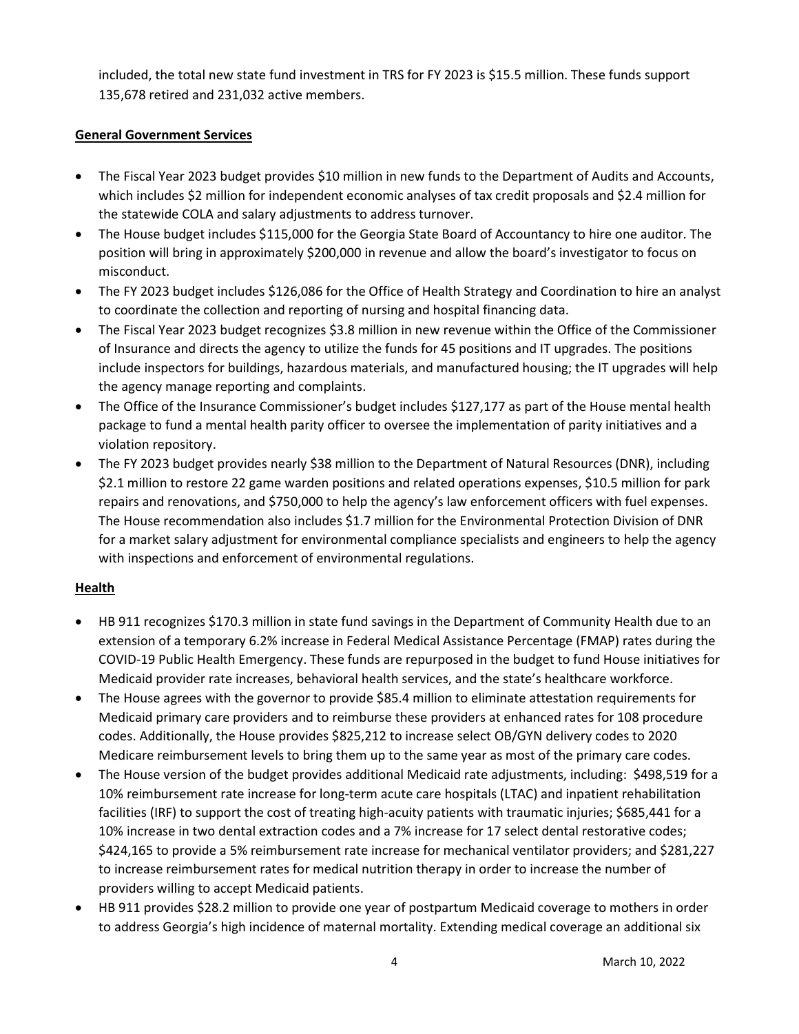included, the total new state fund investment in TRS for FY 2023 is \$15.5 million. These funds support 135,678 retired and 231,032 active members.

### General Government Services

- The Fiscal Year 2023 budget provides \$10 million in new funds to the Department of Audits and Accounts, which includes \$2 million for independent economic analyses of tax credit proposals and \$2.4 million for the statewide COLA and salary adjustments to address turnover.
- The House budget includes \$115,000 for the Georgia State Board of Accountancy to hire one auditor. The position will bring in approximately \$200,000 in revenue and allow the board's investigator to focus on misconduct.
- The FY 2023 budget includes \$126,086 for the Office of Health Strategy and Coordination to hire an analyst to coordinate the collection and reporting of nursing and hospital financing data.
- The Fiscal Year 2023 budget recognizes \$3.8 million in new revenue within the Office of the Commissioner of Insurance and directs the agency to utilize the funds for 45 positions and IT upgrades. The positions include inspectors for buildings, hazardous materials, and manufactured housing; the IT upgrades will help the agency manage reporting and complaints.
- The Office of the Insurance Commissioner's budget includes \$127,177 as part of the House mental health package to fund a mental health parity officer to oversee the implementation of parity initiatives and a violation repository.
- The FY 2023 budget provides nearly \$38 million to the Department of Natural Resources (DNR), including \$2.1 million to restore 22 game warden positions and related operations expenses, \$10.5 million for park repairs and renovations, and \$750,000 to help the agency's law enforcement officers with fuel expenses. The House recommendation also includes \$1.7 million for the Environmental Protection Division of DNR for a market salary adjustment for environmental compliance specialists and engineers to help the agency with inspections and enforcement of environmental regulations.

#### **Health**

- HB 911 recognizes \$170.3 million in state fund savings in the Department of Community Health due to an extension of a temporary 6.2% increase in Federal Medical Assistance Percentage (FMAP) rates during the COVID-19 Public Health Emergency. These funds are repurposed in the budget to fund House initiatives for Medicaid provider rate increases, behavioral health services, and the state's healthcare workforce.
- The House agrees with the governor to provide \$85.4 million to eliminate attestation requirements for Medicaid primary care providers and to reimburse these providers at enhanced rates for 108 procedure codes. Additionally, the House provides \$825,212 to increase select OB/GYN delivery codes to 2020 Medicare reimbursement levels to bring them up to the same year as most of the primary care codes.
- The House version of the budget provides additional Medicaid rate adjustments, including: \$498,519 for a 10% reimbursement rate increase for long-term acute care hospitals (LTAC) and inpatient rehabilitation facilities (IRF) to support the cost of treating high-acuity patients with traumatic injuries; \$685,441 for a 10% increase in two dental extraction codes and a 7% increase for 17 select dental restorative codes; \$424,165 to provide a 5% reimbursement rate increase for mechanical ventilator providers; and \$281,227 to increase reimbursement rates for medical nutrition therapy in order to increase the number of providers willing to accept Medicaid patients.
- HB 911 provides \$28.2 million to provide one year of postpartum Medicaid coverage to mothers in order to address Georgia's high incidence of maternal mortality. Extending medical coverage an additional six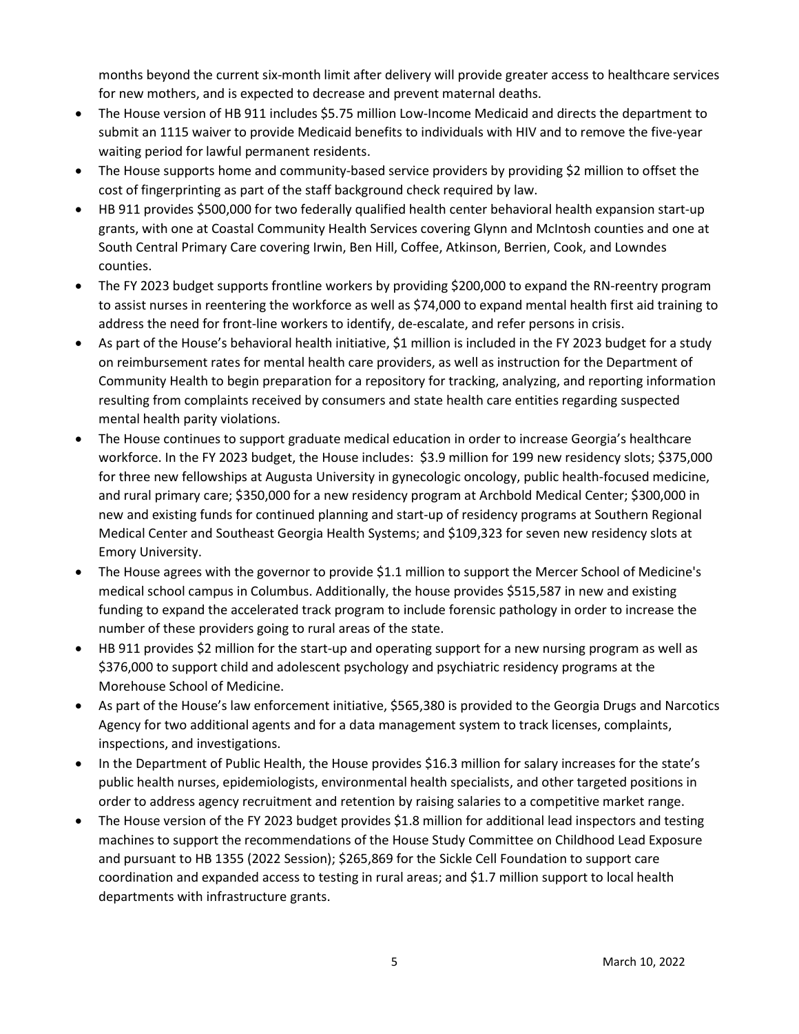months beyond the current six-month limit after delivery will provide greater access to healthcare services for new mothers, and is expected to decrease and prevent maternal deaths.

- The House version of HB 911 includes \$5.75 million Low-Income Medicaid and directs the department to submit an 1115 waiver to provide Medicaid benefits to individuals with HIV and to remove the five-year waiting period for lawful permanent residents.
- The House supports home and community-based service providers by providing \$2 million to offset the cost of fingerprinting as part of the staff background check required by law.
- HB 911 provides \$500,000 for two federally qualified health center behavioral health expansion start-up grants, with one at Coastal Community Health Services covering Glynn and McIntosh counties and one at South Central Primary Care covering Irwin, Ben Hill, Coffee, Atkinson, Berrien, Cook, and Lowndes counties.
- The FY 2023 budget supports frontline workers by providing \$200,000 to expand the RN-reentry program to assist nurses in reentering the workforce as well as \$74,000 to expand mental health first aid training to address the need for front-line workers to identify, de-escalate, and refer persons in crisis.
- As part of the House's behavioral health initiative, \$1 million is included in the FY 2023 budget for a study on reimbursement rates for mental health care providers, as well as instruction for the Department of Community Health to begin preparation for a repository for tracking, analyzing, and reporting information resulting from complaints received by consumers and state health care entities regarding suspected mental health parity violations.
- The House continues to support graduate medical education in order to increase Georgia's healthcare workforce. In the FY 2023 budget, the House includes: \$3.9 million for 199 new residency slots; \$375,000 for three new fellowships at Augusta University in gynecologic oncology, public health-focused medicine, and rural primary care; \$350,000 for a new residency program at Archbold Medical Center; \$300,000 in new and existing funds for continued planning and start-up of residency programs at Southern Regional Medical Center and Southeast Georgia Health Systems; and \$109,323 for seven new residency slots at Emory University.
- The House agrees with the governor to provide \$1.1 million to support the Mercer School of Medicine's medical school campus in Columbus. Additionally, the house provides \$515,587 in new and existing funding to expand the accelerated track program to include forensic pathology in order to increase the number of these providers going to rural areas of the state.
- HB 911 provides \$2 million for the start-up and operating support for a new nursing program as well as \$376,000 to support child and adolescent psychology and psychiatric residency programs at the Morehouse School of Medicine.
- As part of the House's law enforcement initiative, \$565,380 is provided to the Georgia Drugs and Narcotics Agency for two additional agents and for a data management system to track licenses, complaints, inspections, and investigations.
- In the Department of Public Health, the House provides \$16.3 million for salary increases for the state's public health nurses, epidemiologists, environmental health specialists, and other targeted positions in order to address agency recruitment and retention by raising salaries to a competitive market range.
- The House version of the FY 2023 budget provides \$1.8 million for additional lead inspectors and testing machines to support the recommendations of the House Study Committee on Childhood Lead Exposure and pursuant to HB 1355 (2022 Session); \$265,869 for the Sickle Cell Foundation to support care coordination and expanded access to testing in rural areas; and \$1.7 million support to local health departments with infrastructure grants.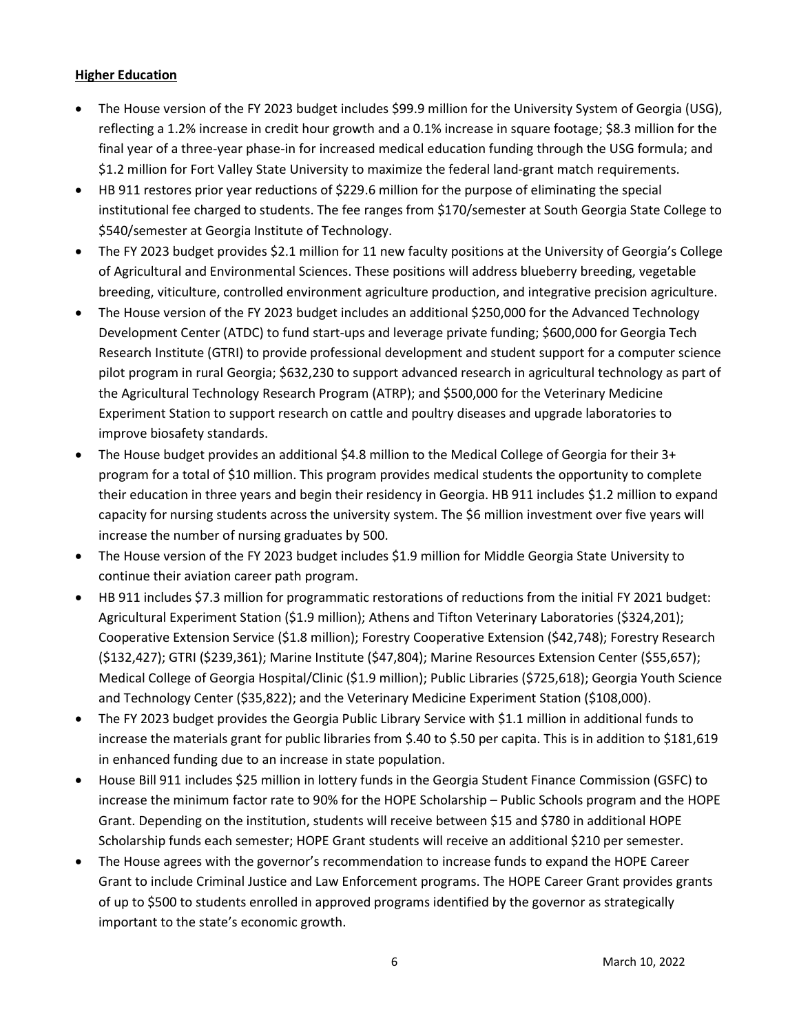### **Higher Education**

- The House version of the FY 2023 budget includes \$99.9 million for the University System of Georgia (USG), reflecting a 1.2% increase in credit hour growth and a 0.1% increase in square footage; \$8.3 million for the final year of a three-year phase-in for increased medical education funding through the USG formula; and \$1.2 million for Fort Valley State University to maximize the federal land-grant match requirements.
- HB 911 restores prior year reductions of \$229.6 million for the purpose of eliminating the special institutional fee charged to students. The fee ranges from \$170/semester at South Georgia State College to \$540/semester at Georgia Institute of Technology.
- The FY 2023 budget provides \$2.1 million for 11 new faculty positions at the University of Georgia's College of Agricultural and Environmental Sciences. These positions will address blueberry breeding, vegetable breeding, viticulture, controlled environment agriculture production, and integrative precision agriculture.
- The House version of the FY 2023 budget includes an additional \$250,000 for the Advanced Technology Development Center (ATDC) to fund start-ups and leverage private funding; \$600,000 for Georgia Tech Research Institute (GTRI) to provide professional development and student support for a computer science pilot program in rural Georgia; \$632,230 to support advanced research in agricultural technology as part of the Agricultural Technology Research Program (ATRP); and \$500,000 for the Veterinary Medicine Experiment Station to support research on cattle and poultry diseases and upgrade laboratories to improve biosafety standards.
- The House budget provides an additional \$4.8 million to the Medical College of Georgia for their 3+ program for a total of \$10 million. This program provides medical students the opportunity to complete their education in three years and begin their residency in Georgia. HB 911 includes \$1.2 million to expand capacity for nursing students across the university system. The \$6 million investment over five years will increase the number of nursing graduates by 500.
- The House version of the FY 2023 budget includes \$1.9 million for Middle Georgia State University to continue their aviation career path program.
- HB 911 includes \$7.3 million for programmatic restorations of reductions from the initial FY 2021 budget: Agricultural Experiment Station (\$1.9 million); Athens and Tifton Veterinary Laboratories (\$324,201); Cooperative Extension Service (\$1.8 million); Forestry Cooperative Extension (\$42,748); Forestry Research (\$132,427); GTRI (\$239,361); Marine Institute (\$47,804); Marine Resources Extension Center (\$55,657); Medical College of Georgia Hospital/Clinic (\$1.9 million); Public Libraries (\$725,618); Georgia Youth Science and Technology Center (\$35,822); and the Veterinary Medicine Experiment Station (\$108,000).
- The FY 2023 budget provides the Georgia Public Library Service with \$1.1 million in additional funds to increase the materials grant for public libraries from \$.40 to \$.50 per capita. This is in addition to \$181,619 in enhanced funding due to an increase in state population.
- House Bill 911 includes \$25 million in lottery funds in the Georgia Student Finance Commission (GSFC) to increase the minimum factor rate to 90% for the HOPE Scholarship – Public Schools program and the HOPE Grant. Depending on the institution, students will receive between \$15 and \$780 in additional HOPE Scholarship funds each semester; HOPE Grant students will receive an additional \$210 per semester.
- The House agrees with the governor's recommendation to increase funds to expand the HOPE Career Grant to include Criminal Justice and Law Enforcement programs. The HOPE Career Grant provides grants of up to \$500 to students enrolled in approved programs identified by the governor as strategically important to the state's economic growth.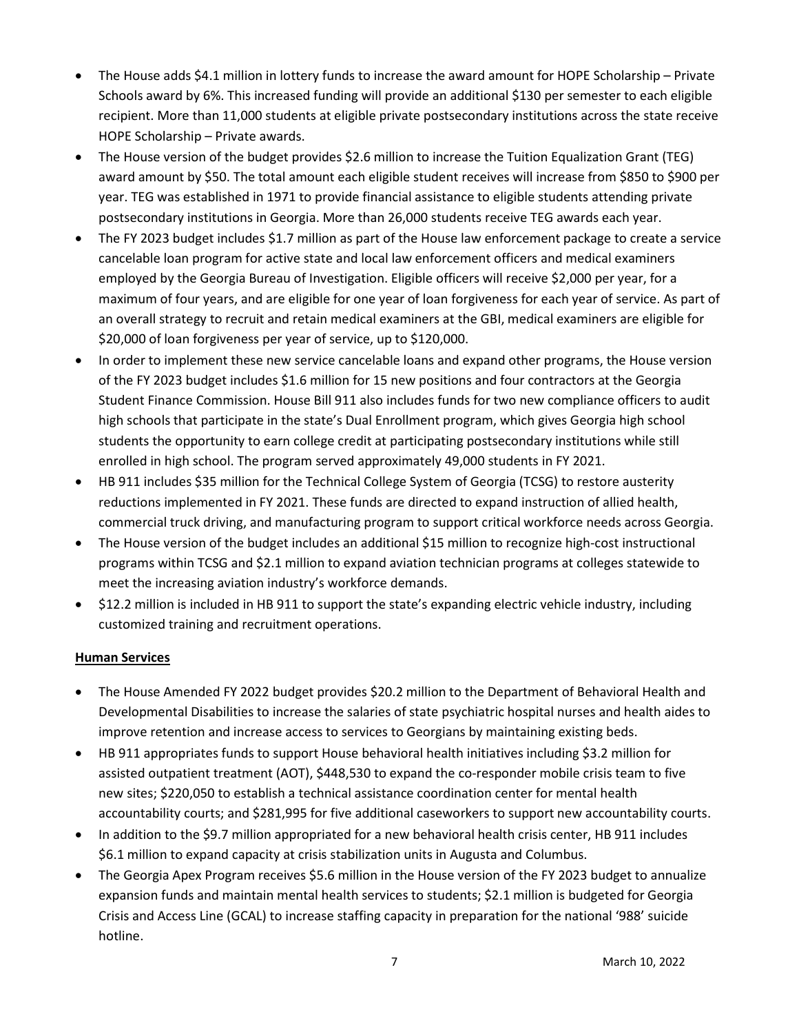- The House adds \$4.1 million in lottery funds to increase the award amount for HOPE Scholarship Private Schools award by 6%. This increased funding will provide an additional \$130 per semester to each eligible recipient. More than 11,000 students at eligible private postsecondary institutions across the state receive HOPE Scholarship – Private awards.
- The House version of the budget provides \$2.6 million to increase the Tuition Equalization Grant (TEG) award amount by \$50. The total amount each eligible student receives will increase from \$850 to \$900 per year. TEG was established in 1971 to provide financial assistance to eligible students attending private postsecondary institutions in Georgia. More than 26,000 students receive TEG awards each year.
- The FY 2023 budget includes \$1.7 million as part of the House law enforcement package to create a service cancelable loan program for active state and local law enforcement officers and medical examiners employed by the Georgia Bureau of Investigation. Eligible officers will receive \$2,000 per year, for a maximum of four years, and are eligible for one year of loan forgiveness for each year of service. As part of an overall strategy to recruit and retain medical examiners at the GBI, medical examiners are eligible for \$20,000 of loan forgiveness per year of service, up to \$120,000.
- In order to implement these new service cancelable loans and expand other programs, the House version of the FY 2023 budget includes \$1.6 million for 15 new positions and four contractors at the Georgia Student Finance Commission. House Bill 911 also includes funds for two new compliance officers to audit high schools that participate in the state's Dual Enrollment program, which gives Georgia high school students the opportunity to earn college credit at participating postsecondary institutions while still enrolled in high school. The program served approximately 49,000 students in FY 2021.
- HB 911 includes \$35 million for the Technical College System of Georgia (TCSG) to restore austerity reductions implemented in FY 2021. These funds are directed to expand instruction of allied health, commercial truck driving, and manufacturing program to support critical workforce needs across Georgia.
- The House version of the budget includes an additional \$15 million to recognize high-cost instructional programs within TCSG and \$2.1 million to expand aviation technician programs at colleges statewide to meet the increasing aviation industry's workforce demands.
- \$12.2 million is included in HB 911 to support the state's expanding electric vehicle industry, including customized training and recruitment operations.

# Human Services

- The House Amended FY 2022 budget provides \$20.2 million to the Department of Behavioral Health and Developmental Disabilities to increase the salaries of state psychiatric hospital nurses and health aides to improve retention and increase access to services to Georgians by maintaining existing beds.
- HB 911 appropriates funds to support House behavioral health initiatives including \$3.2 million for assisted outpatient treatment (AOT), \$448,530 to expand the co-responder mobile crisis team to five new sites; \$220,050 to establish a technical assistance coordination center for mental health accountability courts; and \$281,995 for five additional caseworkers to support new accountability courts.
- In addition to the \$9.7 million appropriated for a new behavioral health crisis center, HB 911 includes \$6.1 million to expand capacity at crisis stabilization units in Augusta and Columbus.
- The Georgia Apex Program receives \$5.6 million in the House version of the FY 2023 budget to annualize expansion funds and maintain mental health services to students; \$2.1 million is budgeted for Georgia Crisis and Access Line (GCAL) to increase staffing capacity in preparation for the national '988' suicide hotline.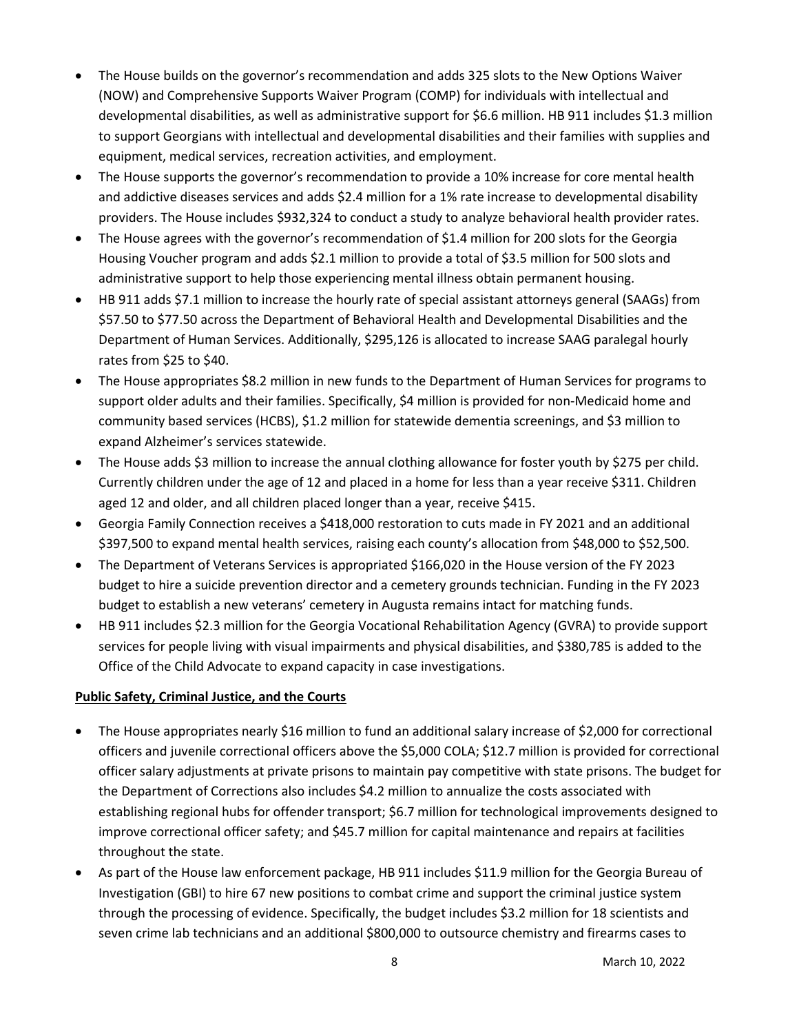- The House builds on the governor's recommendation and adds 325 slots to the New Options Waiver (NOW) and Comprehensive Supports Waiver Program (COMP) for individuals with intellectual and developmental disabilities, as well as administrative support for \$6.6 million. HB 911 includes \$1.3 million to support Georgians with intellectual and developmental disabilities and their families with supplies and equipment, medical services, recreation activities, and employment.
- The House supports the governor's recommendation to provide a 10% increase for core mental health and addictive diseases services and adds \$2.4 million for a 1% rate increase to developmental disability providers. The House includes \$932,324 to conduct a study to analyze behavioral health provider rates.
- The House agrees with the governor's recommendation of \$1.4 million for 200 slots for the Georgia Housing Voucher program and adds \$2.1 million to provide a total of \$3.5 million for 500 slots and administrative support to help those experiencing mental illness obtain permanent housing.
- HB 911 adds \$7.1 million to increase the hourly rate of special assistant attorneys general (SAAGs) from \$57.50 to \$77.50 across the Department of Behavioral Health and Developmental Disabilities and the Department of Human Services. Additionally, \$295,126 is allocated to increase SAAG paralegal hourly rates from \$25 to \$40.
- The House appropriates \$8.2 million in new funds to the Department of Human Services for programs to support older adults and their families. Specifically, \$4 million is provided for non-Medicaid home and community based services (HCBS), \$1.2 million for statewide dementia screenings, and \$3 million to expand Alzheimer's services statewide.
- The House adds \$3 million to increase the annual clothing allowance for foster youth by \$275 per child. Currently children under the age of 12 and placed in a home for less than a year receive \$311. Children aged 12 and older, and all children placed longer than a year, receive \$415.
- Georgia Family Connection receives a \$418,000 restoration to cuts made in FY 2021 and an additional \$397,500 to expand mental health services, raising each county's allocation from \$48,000 to \$52,500.
- The Department of Veterans Services is appropriated \$166,020 in the House version of the FY 2023 budget to hire a suicide prevention director and a cemetery grounds technician. Funding in the FY 2023 budget to establish a new veterans' cemetery in Augusta remains intact for matching funds.
- HB 911 includes \$2.3 million for the Georgia Vocational Rehabilitation Agency (GVRA) to provide support services for people living with visual impairments and physical disabilities, and \$380,785 is added to the Office of the Child Advocate to expand capacity in case investigations.

# Public Safety, Criminal Justice, and the Courts

- The House appropriates nearly \$16 million to fund an additional salary increase of \$2,000 for correctional officers and juvenile correctional officers above the \$5,000 COLA; \$12.7 million is provided for correctional officer salary adjustments at private prisons to maintain pay competitive with state prisons. The budget for the Department of Corrections also includes \$4.2 million to annualize the costs associated with establishing regional hubs for offender transport; \$6.7 million for technological improvements designed to improve correctional officer safety; and \$45.7 million for capital maintenance and repairs at facilities throughout the state.
- As part of the House law enforcement package, HB 911 includes \$11.9 million for the Georgia Bureau of Investigation (GBI) to hire 67 new positions to combat crime and support the criminal justice system through the processing of evidence. Specifically, the budget includes \$3.2 million for 18 scientists and seven crime lab technicians and an additional \$800,000 to outsource chemistry and firearms cases to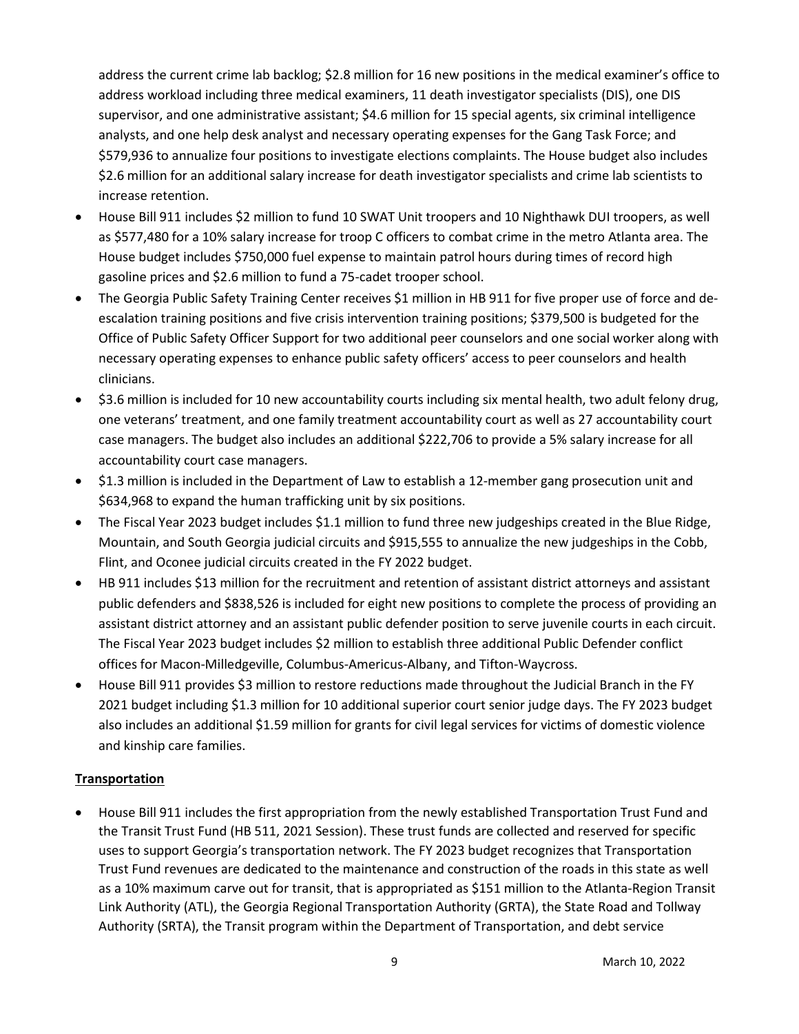address the current crime lab backlog; \$2.8 million for 16 new positions in the medical examiner's office to address workload including three medical examiners, 11 death investigator specialists (DIS), one DIS supervisor, and one administrative assistant; \$4.6 million for 15 special agents, six criminal intelligence analysts, and one help desk analyst and necessary operating expenses for the Gang Task Force; and \$579,936 to annualize four positions to investigate elections complaints. The House budget also includes \$2.6 million for an additional salary increase for death investigator specialists and crime lab scientists to increase retention.

- House Bill 911 includes \$2 million to fund 10 SWAT Unit troopers and 10 Nighthawk DUI troopers, as well as \$577,480 for a 10% salary increase for troop C officers to combat crime in the metro Atlanta area. The House budget includes \$750,000 fuel expense to maintain patrol hours during times of record high gasoline prices and \$2.6 million to fund a 75-cadet trooper school.
- The Georgia Public Safety Training Center receives \$1 million in HB 911 for five proper use of force and deescalation training positions and five crisis intervention training positions; \$379,500 is budgeted for the Office of Public Safety Officer Support for two additional peer counselors and one social worker along with necessary operating expenses to enhance public safety officers' access to peer counselors and health clinicians.
- \$3.6 million is included for 10 new accountability courts including six mental health, two adult felony drug, one veterans' treatment, and one family treatment accountability court as well as 27 accountability court case managers. The budget also includes an additional \$222,706 to provide a 5% salary increase for all accountability court case managers.
- \$1.3 million is included in the Department of Law to establish a 12-member gang prosecution unit and \$634,968 to expand the human trafficking unit by six positions.
- The Fiscal Year 2023 budget includes \$1.1 million to fund three new judgeships created in the Blue Ridge, Mountain, and South Georgia judicial circuits and \$915,555 to annualize the new judgeships in the Cobb, Flint, and Oconee judicial circuits created in the FY 2022 budget.
- HB 911 includes \$13 million for the recruitment and retention of assistant district attorneys and assistant public defenders and \$838,526 is included for eight new positions to complete the process of providing an assistant district attorney and an assistant public defender position to serve juvenile courts in each circuit. The Fiscal Year 2023 budget includes \$2 million to establish three additional Public Defender conflict offices for Macon-Milledgeville, Columbus-Americus-Albany, and Tifton-Waycross.
- House Bill 911 provides \$3 million to restore reductions made throughout the Judicial Branch in the FY 2021 budget including \$1.3 million for 10 additional superior court senior judge days. The FY 2023 budget also includes an additional \$1.59 million for grants for civil legal services for victims of domestic violence and kinship care families.

# **Transportation**

 House Bill 911 includes the first appropriation from the newly established Transportation Trust Fund and the Transit Trust Fund (HB 511, 2021 Session). These trust funds are collected and reserved for specific uses to support Georgia's transportation network. The FY 2023 budget recognizes that Transportation Trust Fund revenues are dedicated to the maintenance and construction of the roads in this state as well as a 10% maximum carve out for transit, that is appropriated as \$151 million to the Atlanta-Region Transit Link Authority (ATL), the Georgia Regional Transportation Authority (GRTA), the State Road and Tollway Authority (SRTA), the Transit program within the Department of Transportation, and debt service